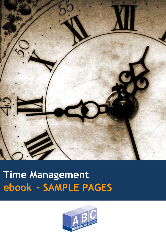

# **Time Management ebook - SAMPLE PAGES**

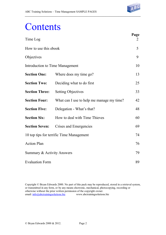

## **Contents**

| Time Log                                 |                                           | Page<br>2 |
|------------------------------------------|-------------------------------------------|-----------|
| How to use this ebook                    |                                           |           |
| Objectives                               |                                           | 9         |
| <b>Introduction to Time Management</b>   |                                           | 10        |
| <b>Section One:</b>                      | Where does my time go?                    | 13        |
| <b>Section Two:</b>                      | Deciding what to do first                 | 25        |
| <b>Section Three:</b>                    | <b>Setting Objectives</b>                 | 33        |
| <b>Section Four:</b>                     | What can I use to help me manage my time? | 42        |
| <b>Section Five:</b>                     | Delegation - What's that?                 | 48        |
| <b>Section Six:</b>                      | How to deal with Time Thieves             | 60        |
| <b>Section Seven:</b>                    | Crises and Emergencies                    | 69        |
| 10 top tips for terrific Time Management |                                           | 74        |
| <b>Action Plan</b>                       |                                           | 76        |
| Summary & Activity Answers               |                                           |           |
| <b>Evaluation Form</b>                   |                                           | 89        |

Copyright © Bryan Edwards 2000. No part of this pack may be reproduced, stored in a retrieval system, or transmitted in any form, or by any means electronic, mechanical, photocopying, recording or otherwise without the prior written permission of the copyright owner. email:  $\frac{info@abctraining solutions.biz}{m}$  www.abctrainingsolutions.biz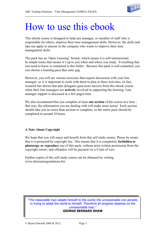

## How to use this ebook

This ebook course is designed to help any manager, or member of staff who is responsible for others, improve their time management skills. However, the skills and tips can apply to anyone in the company who wants to improve their time management skills.

The pack has an 'Open Learning' format, which means it is self-instructional. In simple terms that means it's up to you when and where you study. Everything that you need to know is contained in this folder. Because this pack is self-contained, you can choose a learning pace that suits you.

However, you will see various exercises that require discussion with your line manager, so it is important to work with them to plan in these activities. In fact, research has shown that past delegates gain more success from this ebook course when their line managers are **actively** involved in supporting the learning. Line manager support is discussed in a few pages time.

We also recommend that you complete at least **one section** of the course at a time that way, the information you are dealing with will make more sense! Each section should take you no more than an hour to complete, so the entire pack should be completed in around 10 hours.

### **A Note About Copyright**

We hope that you will enjoy and benefit from this self study course. Please be aware that it is protected by copyright law. This means that it is completely **forbidden to photocopy or reproduce** any of this pack, without prior written permission from the copyright owner, and offenders will be pursued via a Court of Law.

Further copies of this self study course can be obtained by visiting www.abctrainingsolutions.biz

"The reasonable man adapts himself to the world; the unreasonable one persists in trying to adapt the world to himself. Therefore all progress depends on the unreasonable man."

### **GEORGE BERNARD SHAW**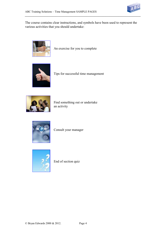

The course contains clear instructions, and symbols have been used to represent the various activities that you should undertake:



An exercise for you to complete



Tips for successful time management



Find something out or undertake an activity



Consult your manager



End of section quiz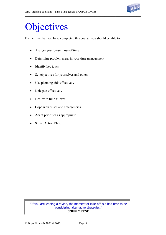

## **Objectives**

By the time that you have completed this course, you should be able to:

- Analyse your present use of time
- Determine problem areas in your time management
- Identify key tasks
- Set objectives for yourselves and others
- Use planning aids effectively
- Delegate effectively
- Deal with time thieves
- Cope with crises and emergencies
- Adapt priorities as appropriate
- Set an Action Plan

"If you are leaping a ravine, the moment of take-off is a bad time to be considering alternative strategies." **JOHN CLEESE**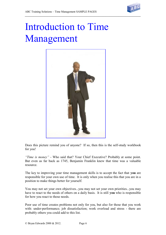

# Introduction to Time Management



Does this picture remind you of anyone? If so, then this is the self-study workbook for you!

*"Time is money"* - Who said that? Your Chief Executive? Probably at some point. But even as far back as 1745, Benjamin Franklin knew that time was a valuable resource.

The key to improving your time management skills is to accept the fact that **you** are responsible for your own use of time. It is only when you realise this that you are in a position to make things better for yourself.

You may not set your own objectives...you may not set your own priorities...you may have to react to the needs of others on a daily basis. It is still **you** who is responsible for how you react to those needs.

Poor use of time creates problems not only for you, but also for those that you work with: under-performance; job dissatisfaction; work overload and stress - there are probably others you could add to this list.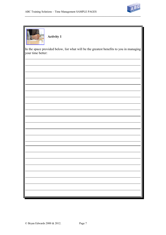



**Activity 1**

In the space provided below, list what will be the greatest benefits to you in managing your time better: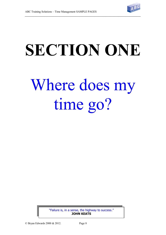

# **SECTION ONE** Where does my time go?

"Failure is, in a sense, the highway to success." **JOHN KEATS**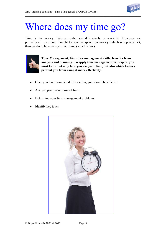

## Where does my time go?

Time is like money. We can either spend it wisely, or waste it. However, we probably all give more thought to how we spend our money (which is replaceable), than we do to how we spend our time (which is not).



**Time Management, like other management skills, benefits from analysis and planning. To apply time management principles, you must know not only how you use your time, but also which factors prevent you from using it more effectively.**

- Once you have completed this section, you should be able to:
- Analyse your present use of time
- Determine your time management problems
- Identify key tasks

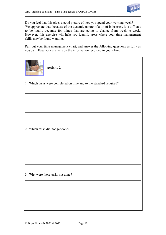

Do you feel that this gives a good picture of how you spend your working week? We appreciate that, because of the dynamic nature of a lot of industries, it is difficult to be totally accurate for things that are going to change from week to week. However, this exercise will help you identify areas where your time management skills may be found wanting.

Pull out your time management chart, and answer the following questions as fully as you can. Base your answers on the information recorded in your chart.

| <b>Activity 2</b>                                                   |  |  |  |  |
|---------------------------------------------------------------------|--|--|--|--|
| 1. Which tasks were completed on time and to the standard required? |  |  |  |  |
|                                                                     |  |  |  |  |
|                                                                     |  |  |  |  |
| 2. Which tasks did not get done?                                    |  |  |  |  |
|                                                                     |  |  |  |  |
|                                                                     |  |  |  |  |
| 3. Why were these tasks not done?                                   |  |  |  |  |
|                                                                     |  |  |  |  |
|                                                                     |  |  |  |  |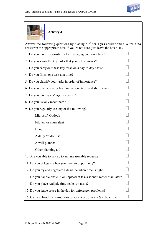

| <b>Activity 4</b>                                                                                                                                                        |  |  |
|--------------------------------------------------------------------------------------------------------------------------------------------------------------------------|--|--|
| Answer the following questions by placing a $\sqrt{ }$ for a yes answer and a X for a no<br>answer in the appropriate box. If you're not sure, just leave the box blank! |  |  |
| 1. Do you have responsibility for managing your own time?                                                                                                                |  |  |
| 2. Do you know the key tasks that your job involves?                                                                                                                     |  |  |
| 3. Do you carry out these key tasks on a day-to-day basis?                                                                                                               |  |  |
| 4. Do you finish one task at a time?                                                                                                                                     |  |  |
| 5. Do you classify your tasks in order of importance?                                                                                                                    |  |  |
| 6. Do you plan activities both in the long term and short term?                                                                                                          |  |  |
| 7. Do you have goals/targets to meet?                                                                                                                                    |  |  |
| 8. Do you usually meet them?                                                                                                                                             |  |  |
| 9. Do you regularly use any of the following?                                                                                                                            |  |  |
| Microsoft Outlook                                                                                                                                                        |  |  |
| Filofax, or equivalent                                                                                                                                                   |  |  |
| Diary                                                                                                                                                                    |  |  |
| A daily 'to do' list                                                                                                                                                     |  |  |
| A wall planner                                                                                                                                                           |  |  |
| Other planning aid                                                                                                                                                       |  |  |
| 10. Are you able to say <b>no</b> to an unreasonable request?                                                                                                            |  |  |
| 11. Do you delegate when you have an opportunity?                                                                                                                        |  |  |
| 12. Do you try and negotiate a deadline when time is tight?                                                                                                              |  |  |
| 13. Do you handle difficult or unpleasant tasks sooner, rather than later?                                                                                               |  |  |
| 14. Do you place realistic time scales on tasks?                                                                                                                         |  |  |
| 15. Do you leave space in the day for unforeseen problems?                                                                                                               |  |  |
| 16. Can you handle interruptions to your work quickly & efficiently?                                                                                                     |  |  |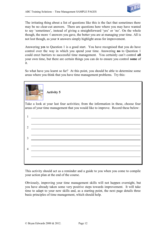

The irritating thing about a list of questions like this is the fact that sometimes there may be no clear-cut answers. There are questions here where you may have wanted to say 'sometimes', instead of giving a straightforward 'yes' or 'no'. On the whole though, the more  $\sqrt{ }$  answers you gave, the better you are at managing your time. All is not lost though, as your x answers simply highlight areas for improvement.

Answering **yes** to Question 1 is a good start. You have recognised that you do have control over the way in which you spend your time. Answering **no** to Question 1 could erect barriers to successful time management. You certainly can't control **all**  your own time, but there are certain things you can do to ensure you control **some** of it.

So what have you learnt so far? At this point, you should be able to determine some areas where you think that you have time management problems. Try this:

| <b>Activity 5</b>                                                                    |  |  |  |  |
|--------------------------------------------------------------------------------------|--|--|--|--|
| Take a look at your last four activities; from the information in these, choose four |  |  |  |  |
| areas of your time management that you would like to improve. Record these below:    |  |  |  |  |
|                                                                                      |  |  |  |  |
| 1                                                                                    |  |  |  |  |
|                                                                                      |  |  |  |  |
| $\overline{2}$                                                                       |  |  |  |  |
|                                                                                      |  |  |  |  |
|                                                                                      |  |  |  |  |
| 3                                                                                    |  |  |  |  |
|                                                                                      |  |  |  |  |
| $\overline{\mathcal{A}}$                                                             |  |  |  |  |
|                                                                                      |  |  |  |  |
|                                                                                      |  |  |  |  |
|                                                                                      |  |  |  |  |
|                                                                                      |  |  |  |  |

This activity should act as a reminder and a guide to you when you come to compile your action plan at the end of the course.

Obviously, improving your time management skills will not happen overnight, but you have already taken some very positive steps towards improvement. It will take time to adapt to your new skills and, as a starting point, the next page details three basic principles of time management, which should help.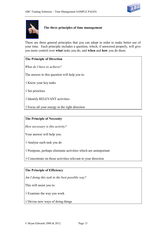



**The three principles of time management**

There are three general principles that you can adopt in order to make better use of your time. Each principle includes a question, which, if answered properly, will give you more control over **what** tasks you do, and **when** and **how** you do them.

### **The Principle of Direction**

*What do I have to achieve?*

The answer to this question will help you to:

 $\sqrt{k}$  Know your key tasks

 $\sqrt{\frac{1}{1}}$  Set priorities

 $\sqrt{}$  Identify RELEVANT activities

 $\sqrt{\frac{F}{\sqrt{\frac{F}{r}}}$  Focus all your energy in the right direction

### **The Principle of Necessity**

*How necessary is this activity?*

Your answer will help you:

Analyse each task you do

 $\sqrt{P}$  Postpone, perhaps eliminate activities which are unimportant

 $\sqrt{2}$  Concentrate on those activities relevant to your direction

### **The Principle of Efficiency**

*Am I doing this task in the best possible way?*

This will assist you to:

 $\sqrt{2}$  Examine the way you work

 $\sqrt{ }$  Devise new ways of doing things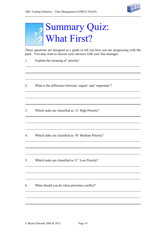



These questions are designed as a guide to tell you how you are progressing with the pack. You may want to discuss your answers with your line manager.

- 1. Explain the meaning of 'priority'.
- 2. What is the difference between 'urgent' and 'important'?
- 3. Which tasks are classified as 'A' High Priority?
- 4. Which tasks are classified as 'B' Medium Priority?
- 5. Which tasks are classified as 'C' Low Priority?
- 6. What should you do when priorities conflict?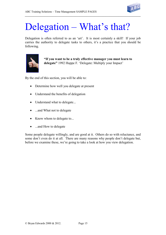

## Delegation – What's that?

Delegation is often referred to as an 'art'. It is most certainly a skill! If your job carries the authority to delegate tasks to others, it's a practice that you should be following.



**"If you want to be a truly effective manager you must learn to delegate"** 1992 Huppe F. 'Delegate: Multiply your Impact'

By the end of this section, you will be able to:

- Determine how well you delegate at present
- Understand the benefits of delegation
- Understand what to delegate...
- ...and What not to delegate
- Know whom to delegate to...
- ...and How to delegate

Some people delegate willingly, and are good at it. Others do so with reluctance, and some don't even do it at all. There are many reasons why people don't delegate but, before we examine these, we're going to take a look at how you view delegation.